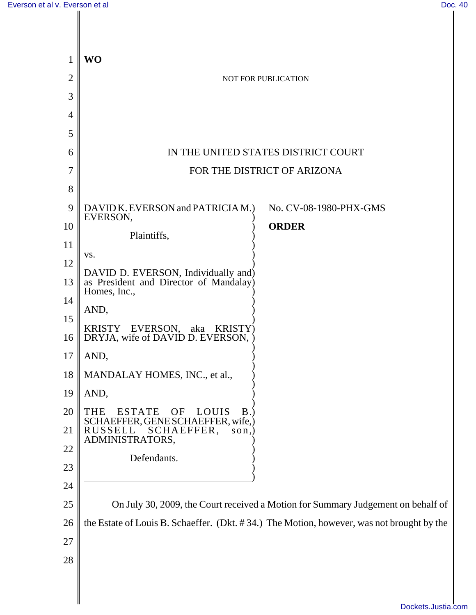| 1              | <b>WO</b>                                                                                 |
|----------------|-------------------------------------------------------------------------------------------|
| $\overline{2}$ | NOT FOR PUBLICATION                                                                       |
| 3              |                                                                                           |
| $\overline{4}$ |                                                                                           |
| 5              |                                                                                           |
| 6              | IN THE UNITED STATES DISTRICT COURT                                                       |
| 7              | FOR THE DISTRICT OF ARIZONA                                                               |
| 8              |                                                                                           |
| 9              | DAVID K. EVERSON and PATRICIA M.)<br>No. CV-08-1980-PHX-GMS<br>EVERSON,                   |
| 10             | <b>ORDER</b><br>Plaintiffs,                                                               |
| 11             | VS.                                                                                       |
| 12             | DAVID D. EVERSON, Individually and)                                                       |
| 13             | as President and Director of Mandalay)<br>Homes, Inc.,                                    |
| 14             | AND,                                                                                      |
| 15<br>16       | <b>KRISTY</b><br><b>KRISTY</b> )<br>EVERSON,<br>aka<br>DRYJA, wife of DAVID D. EVERSON,   |
| 17             | AND,                                                                                      |
| 18             | MANDALAY HOMES, INC., et al.,                                                             |
| 19             | AND,                                                                                      |
| 20             | <b>ESTATE</b><br>OF<br>LOUIS<br>B.<br>THE<br>SCHAEFFER, GENE SCHAEFFER, wife,)            |
| 21             | RUSSELL<br>SCHAEFFER,<br>son,<br>ADMINISTRATORS,                                          |
| 22             | Defendants.                                                                               |
| 23             |                                                                                           |
| 24             |                                                                                           |
| 25             | On July 30, 2009, the Court received a Motion for Summary Judgement on behalf of          |
| 26             | the Estate of Louis B. Schaeffer. (Dkt. #34.) The Motion, however, was not brought by the |
| 27             |                                                                                           |
| 28             |                                                                                           |